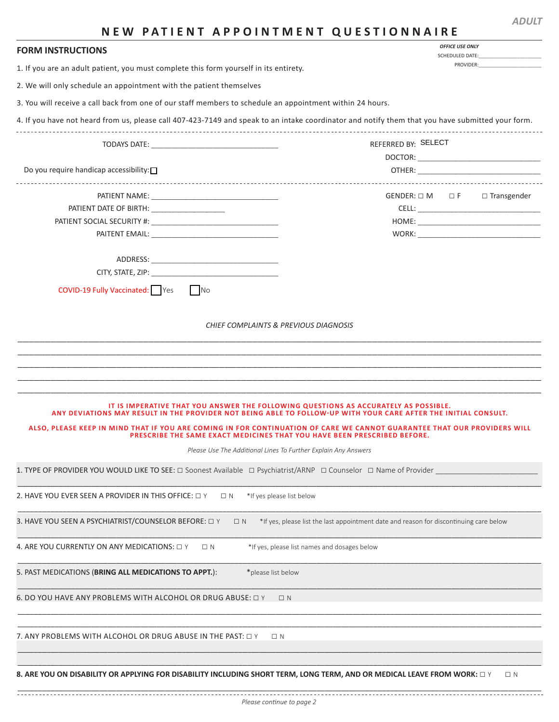| <b>FORM INSTRUCTIONS</b>                                                                                                                                                                                                                                                | <b>OFFICE USE ONLY</b><br>SCHEDULED DATE:                                              |  |
|-------------------------------------------------------------------------------------------------------------------------------------------------------------------------------------------------------------------------------------------------------------------------|----------------------------------------------------------------------------------------|--|
| 1. If you are an adult patient, you must complete this form yourself in its entirety.                                                                                                                                                                                   | PROVIDER:                                                                              |  |
| 2. We will only schedule an appointment with the patient themselves                                                                                                                                                                                                     |                                                                                        |  |
| 3. You will receive a call back from one of our staff members to schedule an appointment within 24 hours.                                                                                                                                                               |                                                                                        |  |
| 4. If you have not heard from us, please call 407-423-7149 and speak to an intake coordinator and notify them that you have submitted your form.                                                                                                                        |                                                                                        |  |
|                                                                                                                                                                                                                                                                         |                                                                                        |  |
|                                                                                                                                                                                                                                                                         | REFERRED BY: SELECT                                                                    |  |
|                                                                                                                                                                                                                                                                         |                                                                                        |  |
| Do you require handicap accessibility: $\square$                                                                                                                                                                                                                        | -------------------------------                                                        |  |
|                                                                                                                                                                                                                                                                         | $GENDER: \Box M$ $\Box F$<br>$\Box$ Transgender                                        |  |
| PATIENT DATE OF BIRTH: _____________________                                                                                                                                                                                                                            |                                                                                        |  |
|                                                                                                                                                                                                                                                                         |                                                                                        |  |
| PAITENT EMAIL: The contract of the contract of the contract of the contract of the contract of the contract of the contract of the contract of the contract of the contract of the contract of the contract of the contract of                                          |                                                                                        |  |
|                                                                                                                                                                                                                                                                         |                                                                                        |  |
| CITY, STATE, ZIP: WARD AND THE STATE OF THE STATE OF THE STATE OF THE STATE OF THE STATE OF THE STATE OF THE STATE OF THE STATE OF THE STATE OF THE STATE OF THE STATE OF THE STATE OF THE STATE OF THE STATE OF THE STATE OF                                           |                                                                                        |  |
| <b>COVID-19 Fully Vaccinated:</b> Yes<br>No                                                                                                                                                                                                                             |                                                                                        |  |
|                                                                                                                                                                                                                                                                         |                                                                                        |  |
|                                                                                                                                                                                                                                                                         |                                                                                        |  |
| IT IS IMPERATIVE THAT YOU ANSWER THE FOLLOWING QUESTIONS AS ACCURATELY AS POSSIBLE.                                                                                                                                                                                     |                                                                                        |  |
| ANY DEVIATIONS MAY RESULT IN THE PROVIDER NOT BEING ABLE TO FOLLOW-UP WITH YOUR CARE AFTER THE INITIAL CONSULT.<br>ALSO, PLEASE KEEP IN MIND THAT IF YOU ARE COMING IN FOR CONTINUATION OF CARE WE CANNOT GUARANTEE THAT OUR PROVIDERS WILL                             |                                                                                        |  |
| PRESCRIBE THE SAME EXACT MEDICINES THAT YOU HAVE BEEN PRESCRIBED BEFORE.                                                                                                                                                                                                |                                                                                        |  |
| Please Use The Additional Lines To Further Explain Any Answers                                                                                                                                                                                                          |                                                                                        |  |
|                                                                                                                                                                                                                                                                         |                                                                                        |  |
| *If yes please list below<br>$\Box N$                                                                                                                                                                                                                                   |                                                                                        |  |
| 1. TYPE OF PROVIDER YOU WOULD LIKE TO SEE: $\Box$ Soonest Available $\Box$ Psychiatrist/ARNP $\Box$ Counselor $\Box$ Name of Provider<br>2. HAVE YOU EVER SEEN A PROVIDER IN THIS OFFICE: $\Box$ Y<br>3. HAVE YOU SEEN A PSYCHIATRIST/COUNSELOR BEFORE: □ Y<br>$\Box N$ | *If yes, please list the last appointment date and reason for discontinuing care below |  |
| $\Box$ N                                                                                                                                                                                                                                                                | *If yes, please list names and dosages below                                           |  |
| *please list below                                                                                                                                                                                                                                                      |                                                                                        |  |
| $\Box N$                                                                                                                                                                                                                                                                |                                                                                        |  |
| 4. ARE YOU CURRENTLY ON ANY MEDICATIONS: $\Box$ Y<br>5. PAST MEDICATIONS (BRING ALL MEDICATIONS TO APPT.):<br>6. DO YOU HAVE ANY PROBLEMS WITH ALCOHOL OR DRUG ABUSE: $\Box$ Y                                                                                          |                                                                                        |  |
| 7. ANY PROBLEMS WITH ALCOHOL OR DRUG ABUSE IN THE PAST: $\Box$ Y<br>$\Box N$                                                                                                                                                                                            |                                                                                        |  |
|                                                                                                                                                                                                                                                                         |                                                                                        |  |

*ADULT*